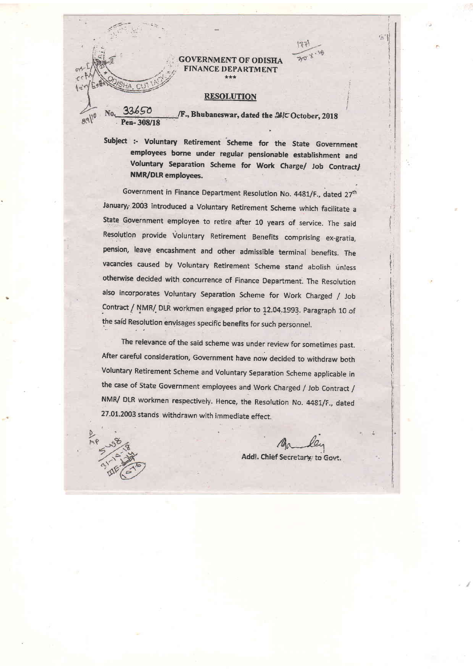## **GOVERNMENT OF ODISHA FINANCE DEPARTMENT**

## **RESOLUTION**

 $89110$ 

 $\Gamma$ 

F., Bhubaneswar, dated the 26/C October, 2018

 $20<sup>4</sup>$ 

 $5$ 

Subject :- Voluntary Retirement Scheme for the State Government employees borne under regular pensionable establishment and Voluntary Separation Scheme for Work Charge/ Job Contract/ **NMR/DLR employees.** 

Government in Finance Department Resolution No. 4481/F., dated 27<sup>th</sup> January, 2003 introduced a Voluntary Retirement Scheme which facilitate a State Government employee to retire after 10 years of service. The said Resolution provide Voluntary Retirement Benefits comprising ex-gratia, pension, leave encashment and other admissible terminal benefits. The vacancies caused by Voluntary Retirement Scheme stand abolish unless otherwise decided with concurrence of Finance Department. The Resolution also incorporates Voluntary Separation Scheme for Work Charged / Job Contract / NMR/ DLR workmen engaged prior to 12.04.1993. Paragraph 10 of the said Resolution envisages specific benefits for such personnel.

The relevance of the said scheme was under review for sometimes past. After careful consideration, Government have now decided to withdraw both Voluntary Retirement Scheme and Voluntary Separation Scheme applicable in the case of State Government employees and Work Charged / Job Contract / NMR/ DLR workmen respectively. Hence, the Resolution No. 4481/F., dated 27.01.2003 stands withdrawn with immediate effect.

Add!. Chief Secretary to Govt.